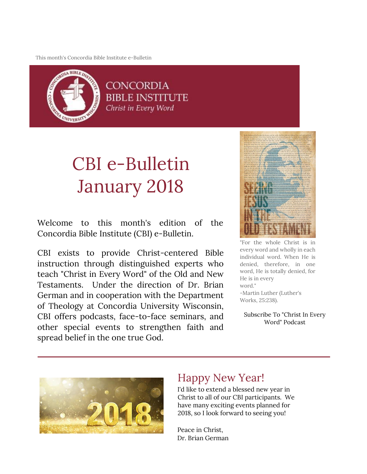This month's Concordia Bible Institute e-Bulletin



**CONCORDIA** BIBLE INSTITUTE Christ in Every Word

# CBI e-Bulletin January 2018

Welcome to this month's edition of the Concordia Bible Institute (CBI) e-Bulletin.

CBI exists to provide Christ-centered Bible instruction through distinguished experts who teach "Christ in Every Word" of the Old and New Testaments. Under the direction of Dr. Brian German and in cooperation with the Department of Theology at Concordia University Wisconsin, CBI offers podcasts, face-to-face seminars, and other special events to strengthen faith and spread belief in the one true God.



"For the whole Christ is in every word and wholly in each individual word. When He is denied, therefore, in one word, He is totally denied, for He is in every word." -Martin Luther (Luther's Works, 25:238).

Subscribe To "Christ In Every Word" Podcast



# Happy New Year!

I'd like to extend a blessed new year in Christ to all of our CBI participants. We have many exciting events planned for 2018, so I look forward to seeing you!

Peace in Christ, Dr. Brian German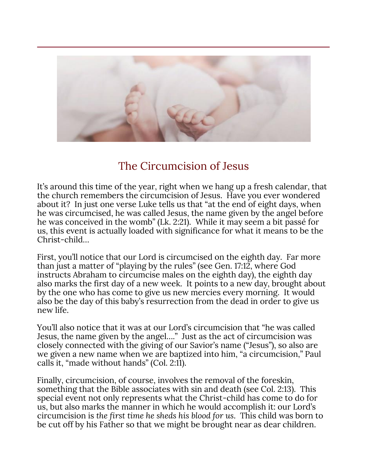

# The Circumcision of Jesus

It's around this time of the year, right when we hang up a fresh calendar, that the church remembers the circumcision of Jesus. Have you ever wondered about it? In just one verse Luke tells us that "at the end of eight days, when he was circumcised, he was called Jesus, the name given by the angel before he was conceived in the womb" (Lk. 2:21). While it may seem a bit passé for us, this event is actually loaded with significance for what it means to be the Christ-child…

First, you'll notice that our Lord is circumcised on the eighth day. Far more than just a matter of "playing by the rules" (see Gen. 17:12, where God instructs Abraham to circumcise males on the eighth day), the eighth day also marks the first day of a new week. It points to a new day, brought about by the one who has come to give us new mercies every morning. It would also be the day of this baby's resurrection from the dead in order to give us new life.

You'll also notice that it was at our Lord's circumcision that "he was called Jesus, the name given by the angel…." Just as the act of circumcision was closely connected with the giving of our Savior's name ("Jesus"), so also are we given a new name when we are baptized into him, "a circumcision," Paul calls it, "made without hands" (Col. 2:11).

Finally, circumcision, of course, involves the removal of the foreskin, something that the Bible associates with sin and death (see Col. 2:13). This special event not only represents what the Christ-child has come to do for us, but also marks the manner in which he would accomplish it: our Lord's circumcision is *the first time he sheds his blood for us*. This child was born to be cut off by his Father so that we might be brought near as dear children.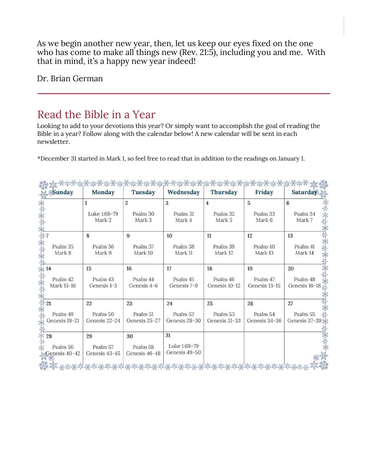As we begin another new year, then, let us keep our eyes fixed on the one who has come to make all things new (Rev. 21:5), including you and me. With that in mind, it's a happy new year indeed!

Dr. Brian German

## Read the Bible in a Year

Looking to add to your devotions this year? Or simply want to accomplish the goal of reading the Bible in a year? Follow along with the calendar below! A new calendar will be sent in each newsletter.

\*December 31 started in Mark 1, so feel free to read that in addition to the readings on January 1.

| Kanton yezhoù yezhoù<br>BETHE THE THE<br><b>WARNER</b><br>PARK TO PARK TO PARK |                           |                                      |                                      |                           |                           |                            |
|--------------------------------------------------------------------------------|---------------------------|--------------------------------------|--------------------------------------|---------------------------|---------------------------|----------------------------|
| <b>Sunday</b>                                                                  | <b>Monday</b>             | <b>Tuesday</b>                       | Wednesday                            | <b>Thursday</b>           | <b>Friday</b>             | Saturday                   |
|                                                                                |                           | $\overline{2}$                       | 3                                    | $\overline{\bf 4}$        | $\overline{5}$            | 6                          |
|                                                                                | Luke 1:68-79<br>Mark 2    | Psalm 30<br>Mark 3                   | Psalm 31<br>Mark 4                   | Psalm 32<br>Mark 5        | Psalm 33<br>Mark 6        | Psalm 34<br>Mark 7         |
|                                                                                | 8                         | 9                                    | 10                                   | 11                        | 12                        | 13                         |
| Psalm 35<br>Mark 8                                                             | Psalm 36<br>Mark 9        | Psalm 37<br>Mark 10                  | Psalm 38<br>Mark 11                  | Psalm 39<br>Mark 12       | Psalm 40<br>Mark 13       | Psalm 41<br>Mark 14        |
| 14                                                                             | 15                        | 16                                   | 17                                   | 18                        | 19                        | 20                         |
| Psalm 42<br>Mark 15-16                                                         | Psalm 43<br>Genesis 1-3   | Psalm 44<br>Genesis 4-6              | Psalm 45<br>Genesis 7-9              | Psalm 46<br>Genesis 10-12 | Psalm 47<br>Genesis 13-15 | Psalm 48<br>Genesis 16-18  |
| 21                                                                             | 22                        | 23                                   | 24                                   | 25                        | 26                        | 27                         |
| Psalm 49<br>Genesis 19-21                                                      | Psalm 50<br>Genesis 22-24 | Psalm <sub>51</sub><br>Genesis 25-27 | Psalm <sub>52</sub><br>Genesis 28-30 | Psalm 53<br>Genesis 31-33 | Psalm 54<br>Genesis 34-36 | Psalm 55<br>Genesis 37-39※ |
| 28                                                                             | 29                        | 30                                   | 31                                   |                           |                           |                            |
| Psalm 56<br>Genesis 40-42                                                      | Psalm 57<br>Genesis 43-45 | Psalm 58<br>Genesis 46-48            | Luke 1:68-79<br>Genesis 49-50        |                           |                           |                            |